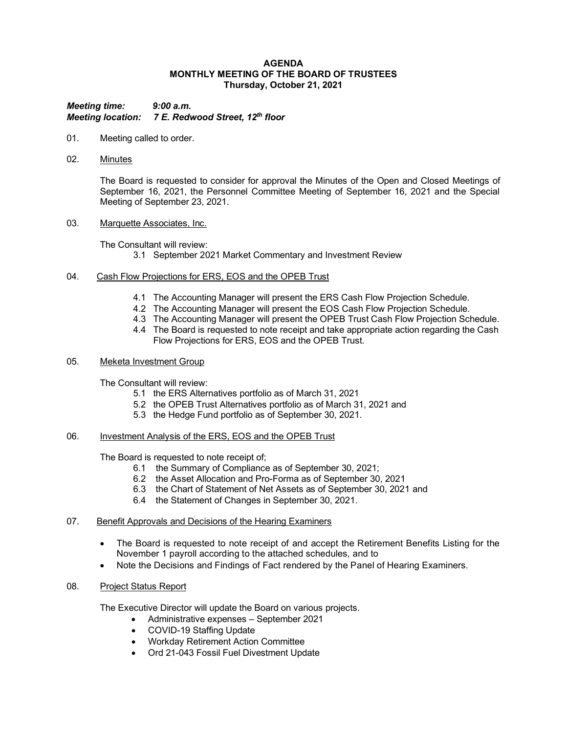#### **AGENDA MONTHLY MEETING OF THE BOARD OF TRUSTEES Thursday, October 21, 2021**

*Meeting time: 9:00 a.m. Meeting location: 7 E. Redwood Street, 12th floor*

- 01. Meeting called to order.
- 02. Minutes

The Board is requested to consider for approval the Minutes of the Open and Closed Meetings of September 16, 2021, the Personnel Committee Meeting of September 16, 2021 and the Special Meeting of September 23, 2021.

03. Marquette Associates, Inc.

The Consultant will review: 3.1 September 2021 Market Commentary and Investment Review

- 04. Cash Flow Projections for ERS, EOS and the OPEB Trust
	- 4.1 The Accounting Manager will present the ERS Cash Flow Projection Schedule.
	- 4.2 The Accounting Manager will present the EOS Cash Flow Projection Schedule.
	- 4.3 The Accounting Manager will present the OPEB Trust Cash Flow Projection Schedule.
	- 4.4 The Board is requested to note receipt and take appropriate action regarding the Cash Flow Projections for ERS, EOS and the OPEB Trust.

### 05. Meketa Investment Group

The Consultant will review:

- 5.1 the ERS Alternatives portfolio as of March 31, 2021
- 5.2 the OPEB Trust Alternatives portfolio as of March 31, 2021 and
- 5.3 the Hedge Fund portfolio as of September 30, 2021.

### 06. Investment Analysis of the ERS, EOS and the OPEB Trust

The Board is requested to note receipt of;

- 6.1 the Summary of Compliance as of September 30, 2021;
- 6.2 the Asset Allocation and Pro-Forma as of September 30, 2021
- 6.3 the Chart of Statement of Net Assets as of September 30, 2021 and
- 6.4 the Statement of Changes in September 30, 2021.
- 07. Benefit Approvals and Decisions of the Hearing Examiners
	- The Board is requested to note receipt of and accept the Retirement Benefits Listing for the November 1 payroll according to the attached schedules, and to
	- Note the Decisions and Findings of Fact rendered by the Panel of Hearing Examiners.

# 08. Project Status Report

The Executive Director will update the Board on various projects.

- Administrative expenses September 2021
- COVID-19 Staffing Update
- Workday Retirement Action Committee
- Ord 21-043 Fossil Fuel Divestment Update